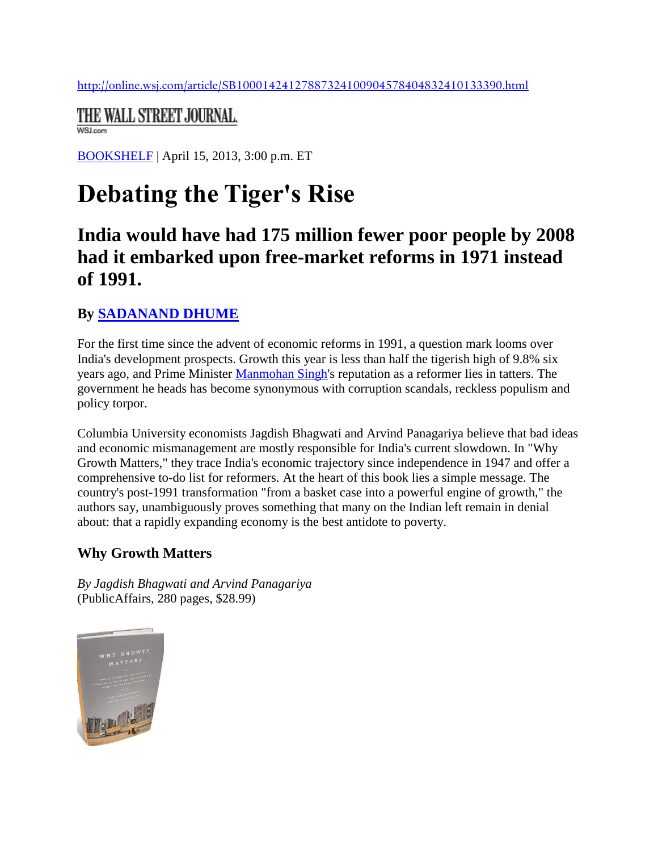#### <http://online.wsj.com/article/SB10001424127887324100904578404832410133390.html>

## THE WALL STREET JOURNAL.

**WSJ.com** 

[BOOKSHELF](http://online.wsj.com/public/search?article-doc-type=%7BBookshelf%7D&HEADER_TEXT=Bookshelf) | April 15, 2013, 3:00 p.m. ET

# **Debating the Tiger's Rise**

## **India would have had 175 million fewer poor people by 2008 had it embarked upon free-market reforms in 1971 instead of 1991.**

## **By [SADANAND DHUME](http://online.wsj.com/search/term.html?KEYWORDS=SADANAND+DHUME&bylinesearch=true)**

For the first time since the advent of economic reforms in 1991, a question mark looms over India's development prospects. Growth this year is less than half the tigerish high of 9.8% six years ago, and Prime Minister [Manmohan Singh'](http://topics.wsj.com/person/S/Manmohan-Singh/6373)s reputation as a reformer lies in tatters. The government he heads has become synonymous with corruption scandals, reckless populism and policy torpor.

Columbia University economists Jagdish Bhagwati and Arvind Panagariya believe that bad ideas and economic mismanagement are mostly responsible for India's current slowdown. In "Why Growth Matters," they trace India's economic trajectory since independence in 1947 and offer a comprehensive to-do list for reformers. At the heart of this book lies a simple message. The country's post-1991 transformation "from a basket case into a powerful engine of growth," the authors say, unambiguously proves something that many on the Indian left remain in denial about: that a rapidly expanding economy is the best antidote to poverty.

### **Why Growth Matters**

*By Jagdish Bhagwati and Arvind Panagariya* (PublicAffairs, 280 pages, \$28.99)

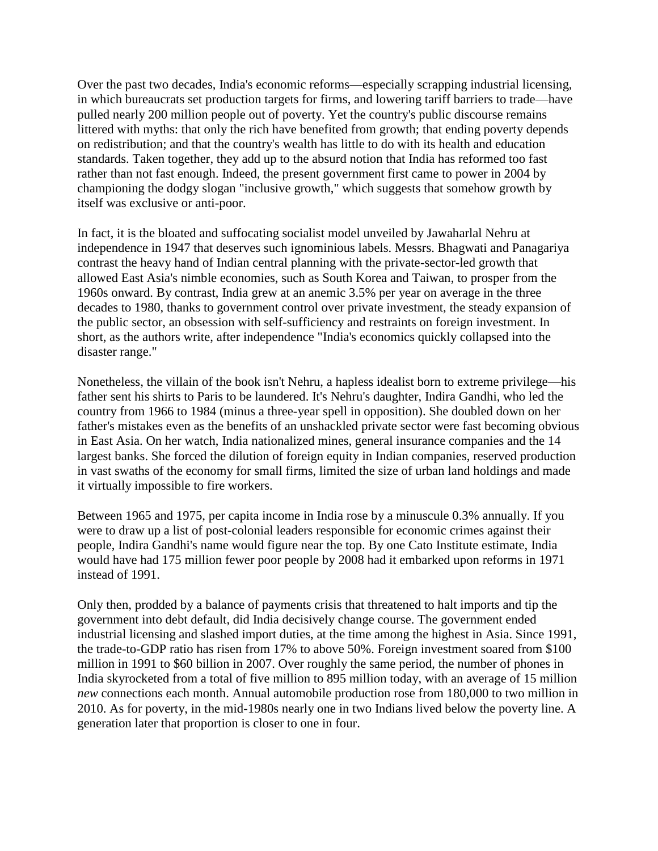Over the past two decades, India's economic reforms—especially scrapping industrial licensing, in which bureaucrats set production targets for firms, and lowering tariff barriers to trade—have pulled nearly 200 million people out of poverty. Yet the country's public discourse remains littered with myths: that only the rich have benefited from growth; that ending poverty depends on redistribution; and that the country's wealth has little to do with its health and education standards. Taken together, they add up to the absurd notion that India has reformed too fast rather than not fast enough. Indeed, the present government first came to power in 2004 by championing the dodgy slogan "inclusive growth," which suggests that somehow growth by itself was exclusive or anti-poor.

In fact, it is the bloated and suffocating socialist model unveiled by Jawaharlal Nehru at independence in 1947 that deserves such ignominious labels. Messrs. Bhagwati and Panagariya contrast the heavy hand of Indian central planning with the private-sector-led growth that allowed East Asia's nimble economies, such as South Korea and Taiwan, to prosper from the 1960s onward. By contrast, India grew at an anemic 3.5% per year on average in the three decades to 1980, thanks to government control over private investment, the steady expansion of the public sector, an obsession with self-sufficiency and restraints on foreign investment. In short, as the authors write, after independence "India's economics quickly collapsed into the disaster range."

Nonetheless, the villain of the book isn't Nehru, a hapless idealist born to extreme privilege—his father sent his shirts to Paris to be laundered. It's Nehru's daughter, Indira Gandhi, who led the country from 1966 to 1984 (minus a three-year spell in opposition). She doubled down on her father's mistakes even as the benefits of an unshackled private sector were fast becoming obvious in East Asia. On her watch, India nationalized mines, general insurance companies and the 14 largest banks. She forced the dilution of foreign equity in Indian companies, reserved production in vast swaths of the economy for small firms, limited the size of urban land holdings and made it virtually impossible to fire workers.

Between 1965 and 1975, per capita income in India rose by a minuscule 0.3% annually. If you were to draw up a list of post-colonial leaders responsible for economic crimes against their people, Indira Gandhi's name would figure near the top. By one Cato Institute estimate, India would have had 175 million fewer poor people by 2008 had it embarked upon reforms in 1971 instead of 1991.

Only then, prodded by a balance of payments crisis that threatened to halt imports and tip the government into debt default, did India decisively change course. The government ended industrial licensing and slashed import duties, at the time among the highest in Asia. Since 1991, the trade-to-GDP ratio has risen from 17% to above 50%. Foreign investment soared from \$100 million in 1991 to \$60 billion in 2007. Over roughly the same period, the number of phones in India skyrocketed from a total of five million to 895 million today, with an average of 15 million *new* connections each month. Annual automobile production rose from 180,000 to two million in 2010. As for poverty, in the mid-1980s nearly one in two Indians lived below the poverty line. A generation later that proportion is closer to one in four.